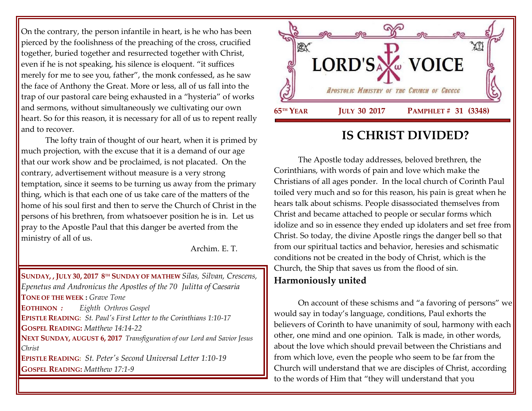On the contrary, the person infantile in heart, is he who has been pierced by the foolishness of the preaching of the cross, crucified together, buried together and resurrected together with Christ, even if he is not speaking, his silence is eloquent. "it suffices merely for me to see you, father", the monk confessed, as he saw the face of Anthony the Great. More or less, all of us fall into the trap of our pastoral care being exhausted in a "hysteria" of works and sermons, without simultaneously we cultivating our own heart. So for this reason, it is necessary for all of us to repent really and to recover.

The lofty train of thought of our heart, when it is primed by much projection, with the excuse that it is a demand of our age that our work show and be proclaimed, is not placated. On the contrary, advertisement without measure is a very strong temptation, since it seems to be turning us away from the primary thing, which is that each one of us take care of the matters of the home of his soul first and then to serve the Church of Christ in the persons of his brethren, from whatsoever position he is in. Let us pray to the Apostle Paul that this danger be averted from the ministry of all of us.

Archim. E. T.

**SUNDAY, , JULY 30, 2017 8 TH SUNDAY OF MATHEW** *[Silas, Silvan, Crescens,](https://www.goarch.org/chapel/saints?contentid=147)  [Epenetus and Andronicus the Apostles of the 70](https://www.goarch.org/chapel/saints?contentid=147) Julitta of Caesaria*  **TONE OF THE WEEK :** *Grave Tone* **EOTHINON** *: Eighth Orthros Gospel* **EPISTLE READING:** *[St. Paul's First Letter to the Corinthians 1:10-17](https://www.goarch.org/chapel/lectionary?type=epistle&code=27&event=940&date=5/28/2017)* **GOSPEL READING:** *[Matthew 14:14-22](https://www.goarch.org/chapel/lectionary?type=gospel&code=43&event=940&date=5/28/2017)* **NEXT SUNDAY, AUGUST 6, 2017** *[Transfiguration of our Lord and Savior Jesus](https://www.goarch.org/chapel/saints?contentid=155)  [Christ](https://www.goarch.org/chapel/saints?contentid=155)* **EPISTLE READING:** *[St. Peter's Second Universal Letter 1:10-19](https://www.goarch.org/chapel/lectionary?type=epistle&code=27&event=940&date=5/28/2017)* **GOSPEL READING:** *[Matthew 17:1-9](https://www.goarch.org/chapel/lectionary?type=gospel&code=43&event=940&date=5/28/2017)*



## **IS CHRIST DIVIDED?**

The Apostle today addresses, beloved brethren, the Corinthians, with words of pain and love which make the Christians of all ages ponder. In the local church of Corinth Paul toiled very much and so for this reason, his pain is great when he hears talk about schisms. People disassociated themselves from Christ and became attached to people or secular forms which idolize and so in essence they ended up idolaters and set free from Christ. So today, the divine Apostle rings the danger bell so that from our spiritual tactics and behavior, heresies and schismatic conditions not be created in the body of Christ, which is the Church, the Ship that saves us from the flood of sin.

**Harmoniously united**

On account of these schisms and "a favoring of persons" we would say in today's language, conditions, Paul exhorts the believers of Corinth to have unanimity of soul, harmony with each other, one mind and one opinion. Talk is made, in other words, about the love which should prevail between the Christians and from which love, even the people who seem to be far from the Church will understand that we are disciples of Christ, according to the words of Him that "they will understand that you